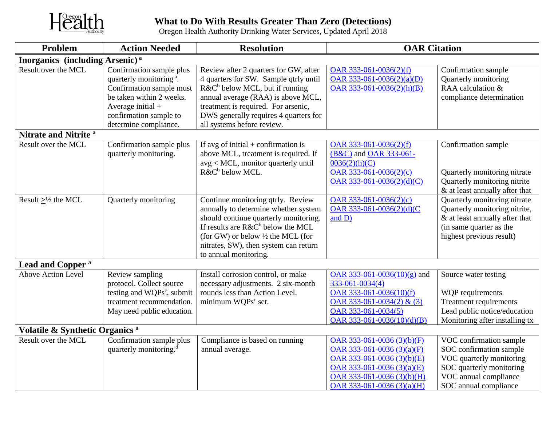

## **What to Do With Results Greater Than Zero (Detections)** Oregon Health Authority Drinking Water Services, Updated April 2018

| Problem                                            | <b>Action Needed</b>                                                                                                                                                                              | <b>Resolution</b>                                                                                                                                                                                                                                                        | <b>OAR Citation</b>                                                                                                                                                                        |                                                                                                                                                              |  |  |  |
|----------------------------------------------------|---------------------------------------------------------------------------------------------------------------------------------------------------------------------------------------------------|--------------------------------------------------------------------------------------------------------------------------------------------------------------------------------------------------------------------------------------------------------------------------|--------------------------------------------------------------------------------------------------------------------------------------------------------------------------------------------|--------------------------------------------------------------------------------------------------------------------------------------------------------------|--|--|--|
| <b>Inorganics</b> (including Arsenic) <sup>a</sup> |                                                                                                                                                                                                   |                                                                                                                                                                                                                                                                          |                                                                                                                                                                                            |                                                                                                                                                              |  |  |  |
| Result over the MCL                                | Confirmation sample plus<br>quarterly monitoring <sup>a</sup> .<br>Confirmation sample must<br>be taken within 2 weeks.<br>Average initial $+$<br>confirmation sample to<br>determine compliance. | Review after 2 quarters for GW, after<br>4 quarters for SW. Sample qtrly until<br>$R\&C^b$ below MCL, but if running<br>annual average (RAA) is above MCL,<br>treatment is required. For arsenic,<br>DWS generally requires 4 quarters for<br>all systems before review. | OAR 333-061-0036(2)(f)<br>OAR 333-061-0036(2)(a)(D)<br>OAR $333-061-0036(2)(h)(B)$                                                                                                         | Confirmation sample<br>Quarterly monitoring<br>RAA calculation &<br>compliance determination                                                                 |  |  |  |
| Nitrate and Nitrite <sup>a</sup>                   |                                                                                                                                                                                                   |                                                                                                                                                                                                                                                                          |                                                                                                                                                                                            |                                                                                                                                                              |  |  |  |
| Result over the MCL                                | Confirmation sample plus<br>quarterly monitoring.                                                                                                                                                 | If avg of initial $+$ confirmation is<br>above MCL, treatment is required. If<br>avg < MCL, monitor quarterly until<br>R&C <sup>b</sup> below MCL.                                                                                                                       | OAR 333-061-0036(2)(f)<br>(B&C) and OAR 333-061-<br>0036(2)(h)(C)<br>OAR 333-061-0036(2)(c)<br>$OAR$ 333-061-0036(2)(d)(C)                                                                 | Confirmation sample<br>Quarterly monitoring nitrate<br>Quarterly monitoring nitrite<br>& at least annually after that                                        |  |  |  |
| Result $\geq\frac{1}{2}$ the MCL                   | Quarterly monitoring                                                                                                                                                                              | Continue monitoring qtrly. Review<br>annually to determine whether system<br>should continue quarterly monitoring.<br>If results are $R\&C^b$ below the MCL<br>(for GW) or below 1/2 the MCL (for<br>nitrates, SW), then system can return<br>to annual monitoring.      | OAR 333-061-0036(2)(c)<br>OAR 333-061-0036(2)(d)(C<br>and D)                                                                                                                               | Quarterly monitoring nitrate<br>Quarterly monitoring nitrite,<br>& at least annually after that<br>(in same quarter as the<br>highest previous result)       |  |  |  |
| Lead and Copper <sup>a</sup>                       |                                                                                                                                                                                                   |                                                                                                                                                                                                                                                                          |                                                                                                                                                                                            |                                                                                                                                                              |  |  |  |
| <b>Above Action Level</b>                          | Review sampling<br>protocol. Collect source<br>testing and WQPs <sup>c</sup> , submit<br>treatment recommendation.<br>May need public education.                                                  | Install corrosion control, or make<br>necessary adjustments. 2 six-month<br>rounds less than Action Level,<br>minimum WQPs <sup>c</sup> set.                                                                                                                             | OAR 333-061-0036(10)(g) and<br>333-061-0034(4)<br>OAR $333-061-0036(10)(f)$<br>OAR 333-061-0034(2) & (3)<br>OAR 333-061-0034(5)<br>OAR 333-061-0036(10)(d)(B)                              | Source water testing<br>WQP requirements<br>Treatment requirements<br>Lead public notice/education<br>Monitoring after installing tx                         |  |  |  |
| Volatile & Synthetic Organics <sup>a</sup>         |                                                                                                                                                                                                   |                                                                                                                                                                                                                                                                          |                                                                                                                                                                                            |                                                                                                                                                              |  |  |  |
| Result over the MCL                                | Confirmation sample plus<br>quarterly monitoring. <sup>d</sup>                                                                                                                                    | Compliance is based on running<br>annual average.                                                                                                                                                                                                                        | OAR 333-061-0036 $(3)(b)(F)$<br>OAR 333-061-0036 $(3)(a)(F)$<br>OAR 333-061-0036 $(3)(b)(E)$<br>OAR 333-061-0036 $(3)(a)(E)$<br>OAR 333-061-0036 (3)(b)(H)<br>OAR 333-061-0036 $(3)(a)(H)$ | VOC confirmation sample<br>SOC confirmation sample<br>VOC quarterly monitoring<br>SOC quarterly monitoring<br>VOC annual compliance<br>SOC annual compliance |  |  |  |